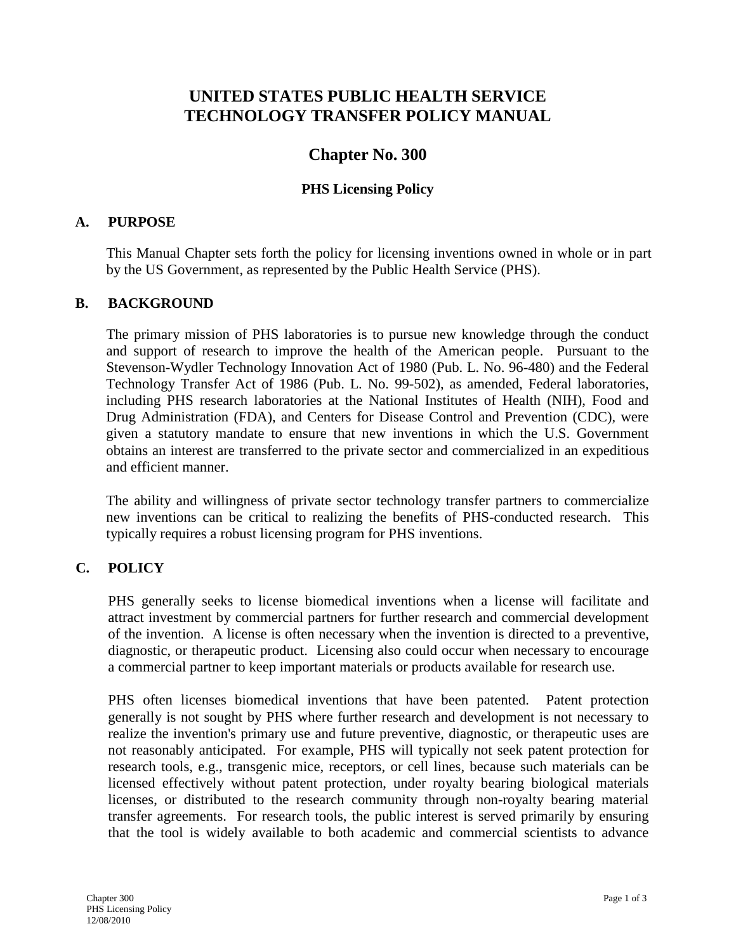# **UNITED STATES PUBLIC HEALTH SERVICE TECHNOLOGY TRANSFER POLICY MANUAL**

## **Chapter No. 300**

### **PHS Licensing Policy**

#### **A. PURPOSE**

This Manual Chapter sets forth the policy for licensing inventions owned in whole or in part by the US Government, as represented by the Public Health Service (PHS).

#### **B. BACKGROUND**

The primary mission of PHS laboratories is to pursue new knowledge through the conduct and support of research to improve the health of the American people. Pursuant to the Stevenson-Wydler Technology Innovation Act of 1980 (Pub. L. No. 96-480) and the Federal Technology Transfer Act of 1986 (Pub. L. No. 99-502), as amended, Federal laboratories, including PHS research laboratories at the National Institutes of Health (NIH), Food and Drug Administration (FDA), and Centers for Disease Control and Prevention (CDC), were given a statutory mandate to ensure that new inventions in which the U.S. Government obtains an interest are transferred to the private sector and commercialized in an expeditious and efficient manner.

The ability and willingness of private sector technology transfer partners to commercialize new inventions can be critical to realizing the benefits of PHS-conducted research. This typically requires a robust licensing program for PHS inventions.

### **C. POLICY**

PHS generally seeks to license biomedical inventions when a license will facilitate and attract investment by commercial partners for further research and commercial development of the invention. A license is often necessary when the invention is directed to a preventive, diagnostic, or therapeutic product. Licensing also could occur when necessary to encourage a commercial partner to keep important materials or products available for research use.

PHS often licenses biomedical inventions that have been patented. Patent protection generally is not sought by PHS where further research and development is not necessary to realize the invention's primary use and future preventive, diagnostic, or therapeutic uses are not reasonably anticipated. For example, PHS will typically not seek patent protection for research tools, e.g., transgenic mice, receptors, or cell lines, because such materials can be licensed effectively without patent protection, under royalty bearing biological materials licenses, or distributed to the research community through non-royalty bearing material transfer agreements. For research tools, the public interest is served primarily by ensuring that the tool is widely available to both academic and commercial scientists to advance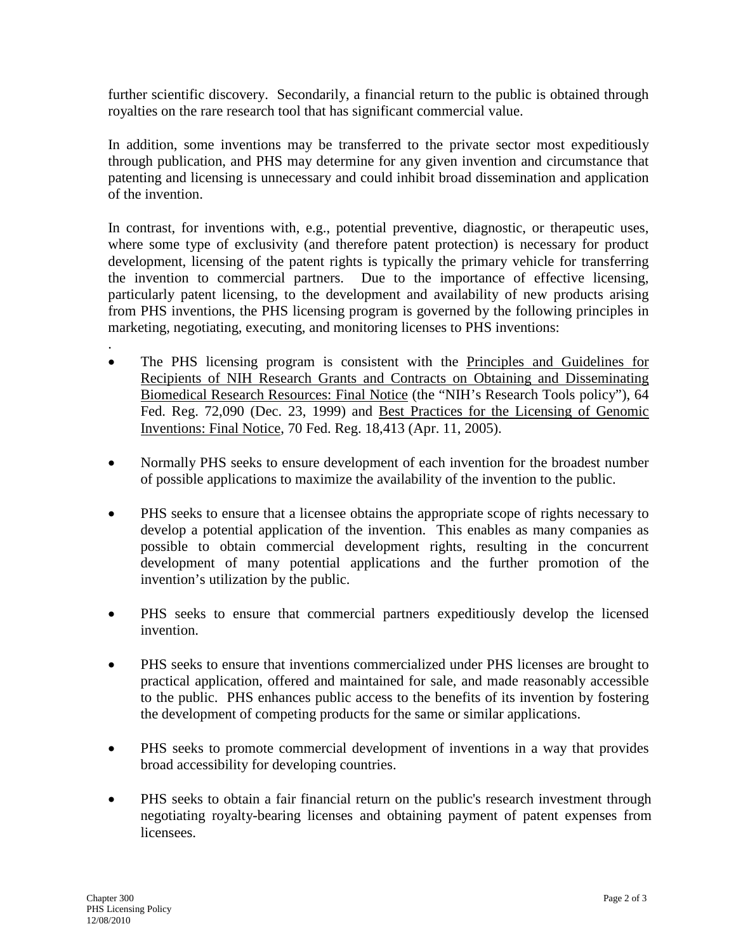further scientific discovery. Secondarily, a financial return to the public is obtained through royalties on the rare research tool that has significant commercial value.

In addition, some inventions may be transferred to the private sector most expeditiously through publication, and PHS may determine for any given invention and circumstance that patenting and licensing is unnecessary and could inhibit broad dissemination and application of the invention.

In contrast, for inventions with, e.g., potential preventive, diagnostic, or therapeutic uses, where some type of exclusivity (and therefore patent protection) is necessary for product development, licensing of the patent rights is typically the primary vehicle for transferring the invention to commercial partners. Due to the importance of effective licensing, particularly patent licensing, to the development and availability of new products arising from PHS inventions, the PHS licensing program is governed by the following principles in marketing, negotiating, executing, and monitoring licenses to PHS inventions:

- The PHS licensing program is consistent with the Principles and Guidelines for Recipients of NIH Research Grants and Contracts on Obtaining and Disseminating Biomedical Research Resources: Final Notice (the "NIH's Research Tools policy"), 64 Fed. Reg. 72,090 (Dec. 23, 1999) and Best Practices for the Licensing of Genomic Inventions: Final Notice, 70 Fed. Reg. 18,413 (Apr. 11, 2005).
- Normally PHS seeks to ensure development of each invention for the broadest number of possible applications to maximize the availability of the invention to the public.
- PHS seeks to ensure that a licensee obtains the appropriate scope of rights necessary to develop a potential application of the invention. This enables as many companies as possible to obtain commercial development rights, resulting in the concurrent development of many potential applications and the further promotion of the invention's utilization by the public.
- PHS seeks to ensure that commercial partners expeditiously develop the licensed invention.
- PHS seeks to ensure that inventions commercialized under PHS licenses are brought to practical application, offered and maintained for sale, and made reasonably accessible to the public. PHS enhances public access to the benefits of its invention by fostering the development of competing products for the same or similar applications.
- PHS seeks to promote commercial development of inventions in a way that provides broad accessibility for developing countries.
- PHS seeks to obtain a fair financial return on the public's research investment through negotiating royalty-bearing licenses and obtaining payment of patent expenses from licensees.

.